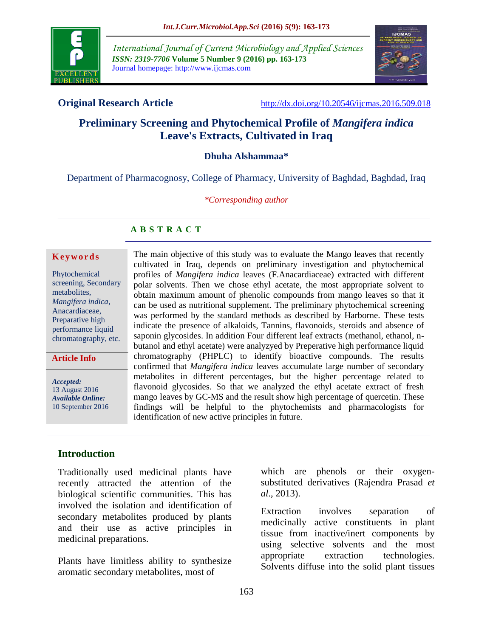

*International Journal of Current Microbiology and Applied Sciences ISSN: 2319-7706* **Volume 5 Number 9 (2016) pp. 163-173** Journal homepage: http://www.ijcmas.com



**Original Research Article** <http://dx.doi.org/10.20546/ijcmas.2016.509.018>

# **Preliminary Screening and Phytochemical Profile of** *Mangifera indica* **Leave's Extracts, Cultivated in Iraq**

#### **Dhuha Alshammaa\***

Department of Pharmacognosy, College of Pharmacy, University of Baghdad, Baghdad, Iraq

#### *\*Corresponding author*

#### **A B S T R A C T**

#### **K e y w o r d s**

Phytochemical screening, Secondary metabolites, *Mangifera indica,* Anacardiaceae, Preparative high performance liquid chromatography, etc.

#### **Article Info**

*Accepted:*  13 August 2016 *Available Online:* 10 September 2016 The main objective of this study was to evaluate the Mango leaves that recently cultivated in Iraq, depends on preliminary investigation and phytochemical profiles of *Mangifera indica* leaves (F.Anacardiaceae) extracted with different polar solvents. Then we chose ethyl acetate, the most appropriate solvent to obtain maximum amount of phenolic compounds from mango leaves so that it can be used as nutritional supplement. The preliminary phytochemical screening was performed by the standard methods as described by Harborne. These tests indicate the presence of alkaloids, Tannins, flavonoids, steroids and absence of saponin glycosides. In addition Four different leaf extracts (methanol, ethanol, nbutanol and ethyl acetate) were analyzyed by Preperative high performance liquid chromatography (PHPLC) to identify bioactive compounds. The results confirmed that *Mangifera indica* leaves accumulate large number of secondary metabolites in different percentages, but the higher percentage related to flavonoid glycosides. So that we analyzed the ethyl acetate extract of fresh mango leaves by GC-MS and the result show high percentage of quercetin. These findings will be helpful to the phytochemists and pharmacologists for identification of new active principles in future.

#### **Introduction**

Traditionally used medicinal plants have recently attracted the attention of the biological scientific communities. This has involved the isolation and identification of secondary metabolites produced by plants and their use as active principles in medicinal preparations.

Plants have limitless ability to synthesize aromatic secondary metabolites, most of

which are phenols or their oxygensubstituted derivatives (Rajendra Prasad *et al*., 2013).

Extraction involves separation of medicinally active constituents in plant tissue from inactive/inert components by using selective solvents and the most appropriate extraction technologies. Solvents diffuse into the solid plant tissues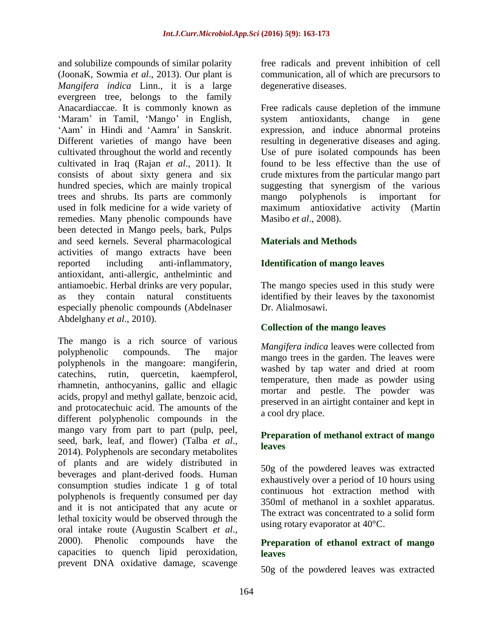and solubilize compounds of similar polarity (JoonaK, Sowmia *et al*., 2013). Our plant is *Mangifera indica* Linn., it is a large evergreen tree, belongs to the family Anacardiaccae. It is commonly known as 'Maram' in Tamil, 'Mango' in English, 'Aam' in Hindi and 'Aamra' in Sanskrit. Different varieties of mango have been cultivated throughout the world and recently cultivated in Iraq (Rajan *et al*., 2011). It consists of about sixty genera and six hundred species, which are mainly tropical trees and shrubs. Its parts are commonly used in folk medicine for a wide variety of remedies. Many phenolic compounds have been detected in Mango peels, bark, Pulps and seed kernels. Several pharmacological activities of mango extracts have been reported including anti-inflammatory, antioxidant, anti-allergic, anthelmintic and antiamoebic. Herbal drinks are very popular, as they contain natural constituents especially phenolic compounds (Abdelnaser Abdelghany *et al*., 2010).

The mango is a rich source of various polyphenolic compounds. The major polyphenols in the mangoare: mangiferin, catechins, rutin, quercetin, kaempferol, rhamnetin, anthocyanins, gallic and ellagic acids, propyl and methyl gallate, benzoic acid, and protocatechuic acid. The amounts of the different polyphenolic compounds in the mango vary from part to part (pulp, peel, seed, bark, leaf, and flower) (Talba *et al*., 2014). Polyphenols are secondary metabolites of plants and are widely distributed in beverages and plant-derived foods. Human consumption studies indicate 1 g of total polyphenols is frequently consumed per day and it is not anticipated that any acute or lethal toxicity would be observed through the oral intake route [\(Augustin](http://jn.nutrition.org/search?author1=Augustin+Scalbert&sortspec=date&submit=Submit) Scalbert *et al*., 2000). Phenolic compounds have the capacities to quench lipid peroxidation, prevent DNA oxidative damage, scavenge free radicals and prevent inhibition of cell communication, all of which are precursors to degenerative diseases.

Free radicals cause depletion of the immune system antioxidants, change in gene expression, and induce abnormal proteins resulting in degenerative diseases and aging. Use of pure isolated compounds has been found to be less effective than the use of crude mixtures from the particular mango part suggesting that synergism of the various mango polyphenols is important for maximum antioxidative activity (Martin Masibo *et al*., 2008).

# **Materials and Methods**

# **Identification of mango leaves**

The mango species used in this study were identified by their leaves by the taxonomist Dr. Alialmosawi.

# **Collection of the mango leaves**

*Mangifera indica* leaves were collected from mango trees in the garden. The leaves were washed by tap water and dried at room temperature, then made as powder using mortar and pestle. The powder was preserved in an airtight container and kept in a cool dry place.

# **Preparation of methanol extract of mango leaves**

50g of the powdered leaves was extracted exhaustively over a period of 10 hours using continuous hot extraction method with 350ml of methanol in a soxhlet apparatus. The extract was concentrated to a solid form using rotary evaporator at 40°C.

#### **Preparation of ethanol extract of mango leaves**

50g of the powdered leaves was extracted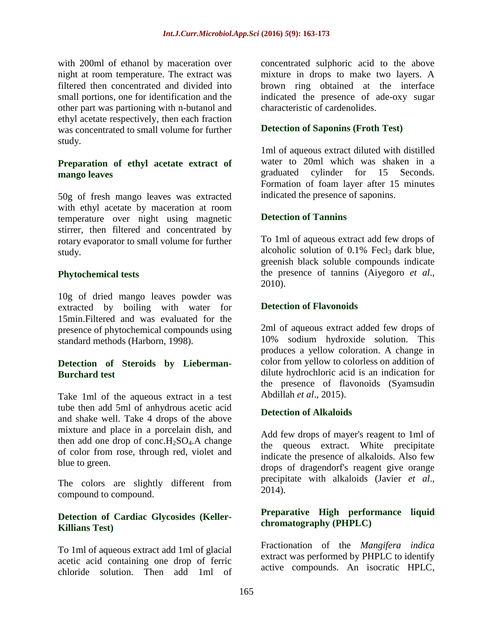with 200ml of ethanol by maceration over night at room temperature. The extract was filtered then concentrated and divided into small portions, one for identification and the other part was partioning with n-butanol and ethyl acetate respectively, then each fraction was concentrated to small volume for further study.

#### **Preparation of ethyl acetate extract of mango leaves**

50g of fresh mango leaves was extracted with ethyl acetate by maceration at room temperature over night using magnetic stirrer, then filtered and concentrated by rotary evaporator to small volume for further study.

#### **Phytochemical tests**

10g of dried mango leaves powder was extracted by boiling with water for 15min.Filtered and was evaluated for the presence of phytochemical compounds using standard methods (Harborn, 1998).

#### **Detection of Steroids by Lieberman-Burchard test**

Take 1ml of the aqueous extract in a test tube then add 5ml of anhydrous acetic acid and shake well. Take 4 drops of the above mixture and place in a porcelain dish, and then add one drop of conc.H<sub>2</sub>SO<sub>4</sub>.A change of color from rose, through red, violet and blue to green.

The colors are slightly different from compound to compound.

#### **Detection of Cardiac Glycosides (Keller-Killians Test)**

To 1ml of aqueous extract add 1ml of glacial acetic acid containing one drop of ferric chloride solution. Then add 1ml of

concentrated sulphoric acid to the above mixture in drops to make two layers. A brown ring obtained at the interface indicated the presence of ade-oxy sugar characteristic of cardenolides.

# **Detection of Saponins (Froth Test)**

1ml of aqueous extract diluted with distilled water to 20ml which was shaken in a graduated cylinder for 15 Seconds. Formation of foam layer after 15 minutes indicated the presence of saponins.

#### **Detection of Tannins**

To 1ml of aqueous extract add few drops of alcoholic solution of  $0.1\%$  Fecl<sub>3</sub> dark blue, greenish black soluble compounds indicate the presence of tannins (Aiyegoro *et al*., 2010).

#### **Detection of Flavonoids**

2ml of aqueous extract added few drops of 10% sodium hydroxide solution. This produces a yellow coloration. A change in color from yellow to colorless on addition of dilute hydrochloric acid is an indication for the presence of flavonoids (Syamsudin Abdillah *et al*., 2015).

#### **Detection of Alkaloids**

Add few drops of mayer's reagent to 1ml of the queous extract. White precipitate indicate the presence of alkaloids. Also few drops of dragendorf's reagent give orange precipitate with alkaloids (Javier *et al*., 2014).

#### **Preparative High performance liquid chromatography (PHPLC)**

Fractionation of the *Mangifera indica* extract was performed by PHPLC to identify active compounds. An isocratic HPLC,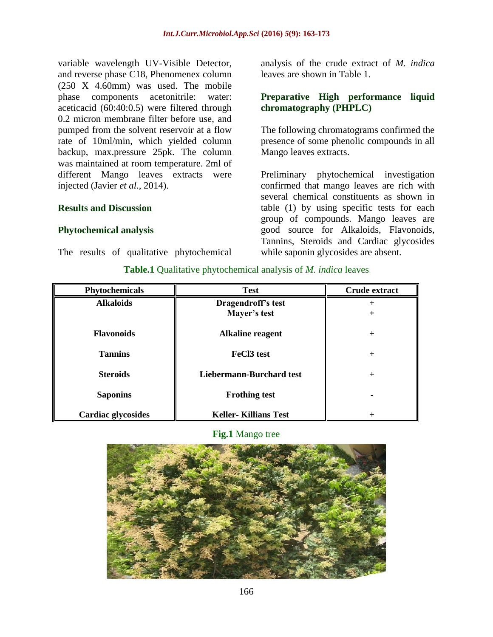variable wavelength UV-Visible Detector, and reverse phase C18, Phenomenex column (250 X 4.60mm) was used. The mobile phase components acetonitrile: water: aceticacid (60:40:0.5) were filtered through 0.2 micron membrane filter before use, and pumped from the solvent reservoir at a flow rate of 10ml/min, which yielded column backup, max.pressure 25pk. The column was maintained at room temperature. 2ml of different Mango leaves extracts were injected (Javier *et al*., 2014).

#### **Results and Discussion**

#### **Phytochemical analysis**

The results of qualitative phytochemical

analysis of the crude extract of *M. indica* leaves are shown in Table 1.

#### **Preparative High performance liquid chromatography (PHPLC)**

The following chromatograms confirmed the presence of some phenolic compounds in all Mango leaves extracts.

Preliminary phytochemical investigation confirmed that mango leaves are rich with several chemical constituents as shown in table (1) by using specific tests for each group of compounds. Mango leaves are good source for Alkaloids, Flavonoids, Tannins, Steroids and Cardiac glycosides while saponin glycosides are absent.

| Phytochemicals            | <b>Test</b>                 | <b>Crude extract</b> |
|---------------------------|-----------------------------|----------------------|
| <b>Alkaloids</b>          | Dragendroff's test          |                      |
|                           | Mayer's test                | ┿                    |
| <b>Flavonoids</b>         | <b>Alkaline reagent</b>     | $\pm$                |
| <b>Tannins</b>            | <b>FeCl3</b> test           | $\pm$                |
| <b>Steroids</b>           | Liebermann-Burchard test    | $\pm$                |
| <b>Saponins</b>           | <b>Frothing test</b>        |                      |
| <b>Cardiac glycosides</b> | <b>Keller-Killians Test</b> |                      |

#### **Table.1** Qualitative phytochemical analysis of *M. indica* leaves

#### **Fig.1** Mango tree

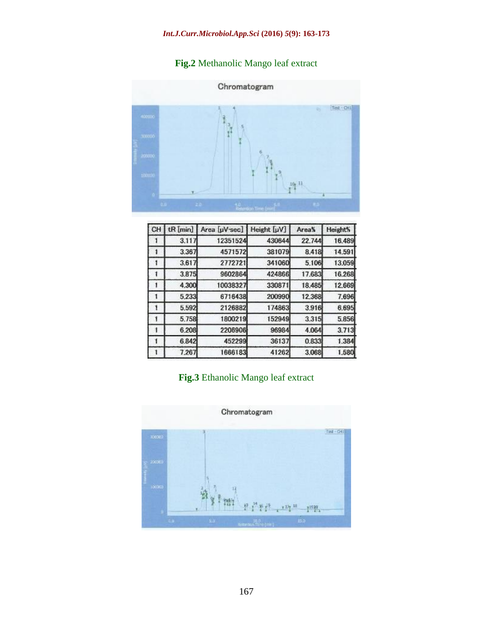# **Fig.2** Methanolic Mango leaf extract



| CН | tR [min] | Area [µV-sec] | Height [µV] | Area%  | <b>Height%</b> |
|----|----------|---------------|-------------|--------|----------------|
|    | 3.117    | 12351524      | 430644      | 22.744 | 16.489         |
|    | 3.367    | 4571572       | 381079      | 8.418  | 14.591         |
|    | 3.617    | 2772721       | 341060      | 5.106  | 13.059         |
|    | 3.875    | 9602864       | 424866      | 17.683 | 16.268         |
|    | 4.300    | 10038327      | 330871      | 18,485 | 12.669         |
|    | 5.233    | 6716438       | 200990      | 12.368 | 7.696          |
|    | 5.592    | 2126882       | 174863      | 3.916  | 6.695          |
|    | 5.758    | 1800219       | 152949      | 3.315  | 5.856          |
|    | 6.208    | 2206906       | 96984       | 4.064  | 3.713          |
|    | 6.842    | 452299        | 36137       | 0.833  | 1.384          |
|    | 7.267    | 1666183       | 41262       | 3.068  | 1,580          |

# **Fig.3** Ethanolic Mango leaf extract

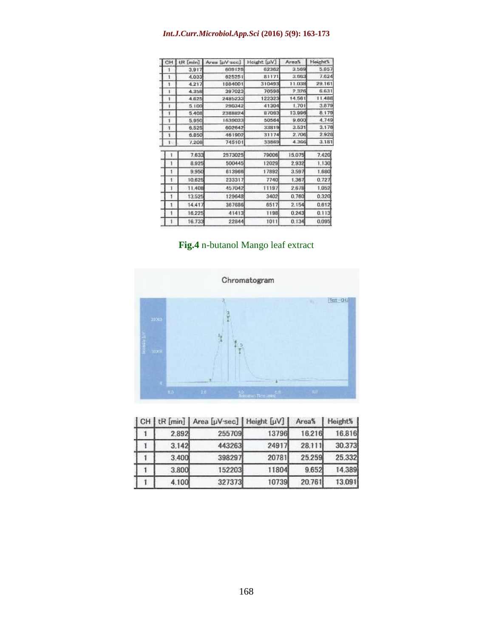# *Int.J.Curr.Microbiol.App.Sci* **(2016)** *5***(9): 163-173**

| CH | tR [min] | Area [uV-sec]   Height [uV] |        | Area%  | Height% |
|----|----------|-----------------------------|--------|--------|---------|
| 1  | 3.917    | 609129                      | 62362  | 3.569  | 5.057   |
| 1  | 4.033    | 625251                      | 81171  | 3.663  | 7.624   |
| 1  | 4.217    | 1884001                     | 310493 | 11.038 | 29.161  |
| ı  | 4.358    | 397023                      | 70598  | 2.326  | 6.631   |
|    | 4.625    | 2485233                     | 122323 | 14,561 | 11488   |
| ī  | 5.100    | 290342                      | 41304  | 1.701  | 3,879   |
| Ŧ  | 5.408    | 2388824                     | 87083  | 13.996 | 8.179   |
| 1  | 5.950    | 1639033                     | 50564  | 9.603  | 4.749   |
| 1  | 6.525    | 602642                      | 33819  | 3.531  | 3.176   |
| 1  | 6,850    | 461902                      | 31174  | 2.706  | 2.928   |
| t. | 7.208    | 745101                      | 33869  | 4.366  | 3.181   |
|    | 7.633    | 2573025                     | 79006  | 15.075 | 7.420   |
|    | 8.925    | 500445                      | 12029  | 2.932  | 1.130   |
| ŧ  | 9,950    | 613966                      | 17892  | 3.597  | 1.680   |
| 1  | 10.625   | 233317                      | 7740   | 1.367  | 0.727   |
|    | 11,408   | 457042                      | 11197  | 2.678  | 1.052   |
|    | 13.525   | 129648                      | 3402   | 0.760  | 0,320   |
| 1  | 14.417   | 367686                      | 6517   | 2.154  | 0.612   |
| 1  | 16.225   | 41413                       | 1198   | 0.243  | 0.113   |
|    | 16.733   | 22844                       | 1011   | 0.134  | 0.095   |

# **Fig.4** n-butanol Mango leaf extract



|       | CH   tR [min]   Area [µV·sec]   Height [µV] |       | Area%  | Height's |
|-------|---------------------------------------------|-------|--------|----------|
| 2.892 | 255709                                      | 13796 | 16.216 | 16.816   |
| 3.142 | 443263                                      | 24917 | 28.111 | 30.373   |
| 3.400 | 398297                                      | 20781 | 25.259 | 25.332   |
| 3.800 | 152203                                      | 11804 | 9.652  | 14.389   |
| 4.100 | 327373                                      | 10739 | 20.761 | 13.091   |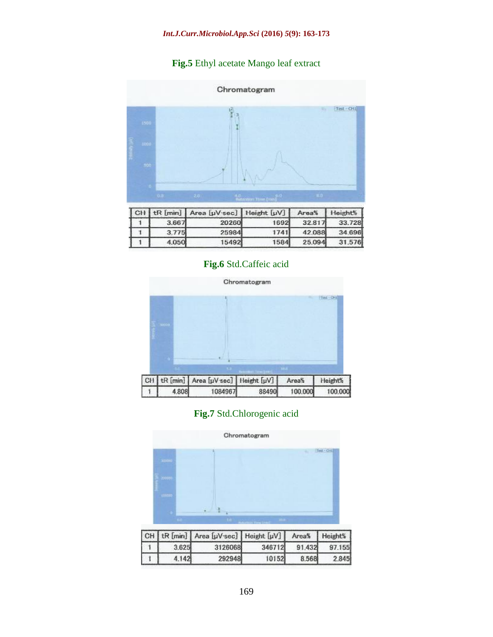# **Fig.5** Ethyl acetate Mango leaf extract



|       | CH   tR [min]   Area [uV sec]   Height [uV] |      |        | Area%   Height% |
|-------|---------------------------------------------|------|--------|-----------------|
| 3.667 | 20260                                       | 1692 | 32.817 | 33.728          |
| 3.775 | 25984                                       | 1741 | 42.088 | 34.696          |
| 4.050 | 15492                                       | 1584 | 25.094 | 31,576          |

# **Fig.6** Std.Caffeic acid



# **Fig.7** Std.Chlorogenic acid

|   | Chromatogram |             |
|---|--------------|-------------|
|   |              | $Test - CH$ |
| . |              |             |
|   |              |             |
| ٠ |              | an mill     |

|       | CH   tR [min]   Area [uV·sec]   Height [uV] |        |        | Area% Height% |
|-------|---------------------------------------------|--------|--------|---------------|
| 3.625 | 3126068                                     | 346712 | 91.432 | 97.155        |
| 4.142 | 292948                                      | 10152  | 8.568  | 2.845         |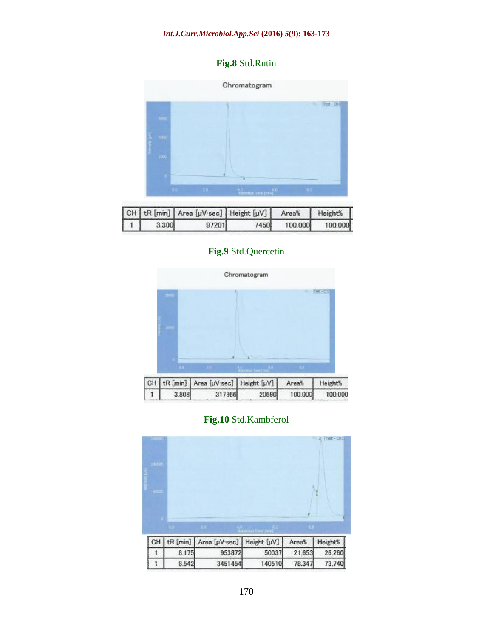# **Fig.8** Std.Rutin

#### Chromatogram



|       | CH   tR [min]   Area [µV·sec]   Height [µV] |      | Area%   | Height's |
|-------|---------------------------------------------|------|---------|----------|
| 3.300 | 97201                                       | 7450 | 100,000 | 100,000  |

# **Fig.9** Std.Quercetin



### **Fig.10** Std.Kambferol

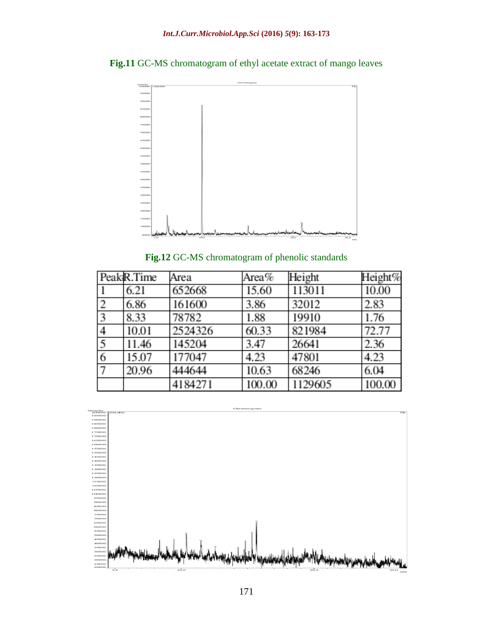



**Fig.12** GC-MS chromatogram of phenolic standards

|                | Peak <sub>R</sub> .Time | Area    | Area%  | Height  | Height% |
|----------------|-------------------------|---------|--------|---------|---------|
|                | 6.21                    | 652668  | 15.60  | 113011  | 10.00   |
| $\overline{c}$ | 6.86                    | 161600  | 3.86   | 32012   | 2.83    |
| 3              | 8.33                    | 78782   | 1.88   | 19910   | 1.76    |
| 4              | 10.01                   | 2524326 | 60.33  | 821984  | 72.77   |
| 5              | 11.46                   | 145204  | 3.47   | 26641   | 2.36    |
| 6              | 15.07                   | 177047  | 4.23   | 47801   | 4.23    |
| $\overline{7}$ | 20.96                   | 444644  | 10.63  | 68246   | 6.04    |
|                |                         | 4184271 | 100.00 | 1129605 | 100.00  |

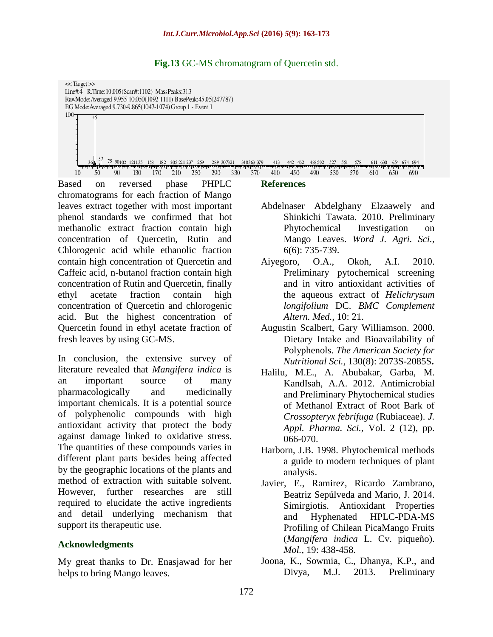



Based on reversed phase PHPLC chromatograms for each fraction of Mango leaves extract together with most important phenol standards we confirmed that hot methanolic extract fraction contain high concentration of Quercetin, Rutin and Chlorogenic acid while ethanolic fraction contain high concentration of Quercetin and Caffeic acid, n-butanol fraction contain high concentration of Rutin and Quercetin, finally ethyl acetate fraction contain high concentration of Quercetin and chlorogenic acid. But the highest concentration of Quercetin found in ethyl acetate fraction of fresh leaves by using GC-MS.

In conclusion, the extensive survey of literature revealed that *Mangifera indica* is an important source of many pharmacologically and medicinally important chemicals. It is a potential source of polyphenolic compounds with high antioxidant activity that protect the body against damage linked to oxidative stress. The quantities of these compounds varies in different plant parts besides being affected by the geographic locations of the plants and method of extraction with suitable solvent. However, further researches are still required to elucidate the active ingredients and detail underlying mechanism that support its therapeutic use.

#### **Acknowledgments**

My great thanks to Dr. Enasjawad for her helps to bring Mango leaves.

#### **References**

- Abdelnaser Abdelghany Elzaawely and Shinkichi Tawata. 2010. Preliminary Phytochemical Investigation on Mango Leaves. *Word J. Agri. Sci.,* 6(6): 735-739.
- Aiyegoro, O.A., Okoh, A.I. 2010. Preliminary pytochemical screening and in vitro antioxidant activities of the aqueous extract of *Helichrysum longifolium* DC. *BMC Complement Altern. Med.,* 10: 21.
- [Augustin](http://jn.nutrition.org/search?author1=Augustin+Scalbert&sortspec=date&submit=Submit) Scalbert, [Gary Williamson.](http://jn.nutrition.org/search?author1=Gary+Williamson&sortspec=date&submit=Submit) 2000. Dietary Intake and Bioavailability of Polyphenols. *The American Society for Nutritional Sci.,* 130(8): 2073S-2085S**.**
- Halilu, M.E., A. Abubakar, Garba, M. KandIsah, A.A. 2012. Antimicrobial and Preliminary Phytochemical studies of Methanol Extract of Root Bark of *Crossopteryx febrifuga* (Rubiaceae). *J. Appl. Pharma. Sci.,* Vol. 2 (12), pp. 066-070.
- Harborn, J.B. 1998. [Phytochemical methods](http://www.google.com/books?hl=ar&lr=&id=2yvqeRtE8CwC&oi=fnd&pg=PR7&dq=modern+methods+for+identification+of+compounds&ots=xyffP4PoV2&sig=gnfIJ1UngVPOTYWkQWeoOy2GGGo)  [a guide to modern techniques of plant](http://www.google.com/books?hl=ar&lr=&id=2yvqeRtE8CwC&oi=fnd&pg=PR7&dq=modern+methods+for+identification+of+compounds&ots=xyffP4PoV2&sig=gnfIJ1UngVPOTYWkQWeoOy2GGGo)  [analysis.](http://www.google.com/books?hl=ar&lr=&id=2yvqeRtE8CwC&oi=fnd&pg=PR7&dq=modern+methods+for+identification+of+compounds&ots=xyffP4PoV2&sig=gnfIJ1UngVPOTYWkQWeoOy2GGGo)
- Javier, E., Ramirez, Ricardo Zambrano, Beatriz Sepúlveda and Mario, J. 2014. Simirgiotis. Antioxidant Properties and Hyphenated HPLC-PDA-MS Profiling of Chilean PicaMango Fruits (*Mangifera indica* L. Cv. piqueño). *Mol.,* 19: 438-458.
- Joona, K., Sowmia, C., Dhanya, K.P., and Divya, M.J. 2013. Preliminary